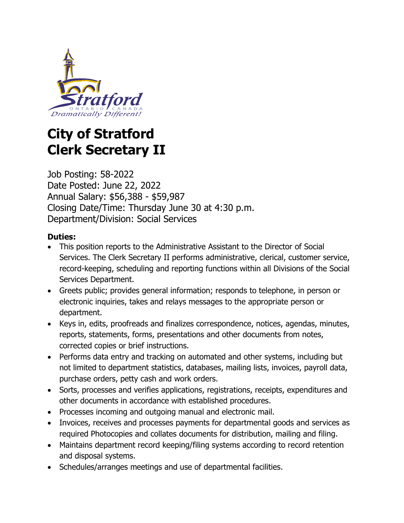

# **City of Stratford Clerk Secretary II**

Job Posting: 58-2022 Date Posted: June 22, 2022 Annual Salary: \$56,388 - \$59,987 Closing Date/Time: Thursday June 30 at 4:30 p.m. Department/Division: Social Services

## **Duties:**

- This position reports to the Administrative Assistant to the Director of Social Services. The Clerk Secretary II performs administrative, clerical, customer service, record-keeping, scheduling and reporting functions within all Divisions of the Social Services Department.
- Greets public; provides general information; responds to telephone, in person or electronic inquiries, takes and relays messages to the appropriate person or department.
- Keys in, edits, proofreads and finalizes correspondence, notices, agendas, minutes, reports, statements, forms, presentations and other documents from notes, corrected copies or brief instructions.
- Performs data entry and tracking on automated and other systems, including but not limited to department statistics, databases, mailing lists, invoices, payroll data, purchase orders, petty cash and work orders.
- Sorts, processes and verifies applications, registrations, receipts, expenditures and other documents in accordance with established procedures.
- Processes incoming and outgoing manual and electronic mail.
- Invoices, receives and processes payments for departmental goods and services as required Photocopies and collates documents for distribution, mailing and filing.
- Maintains department record keeping/filing systems according to record retention and disposal systems.
- Schedules/arranges meetings and use of departmental facilities.